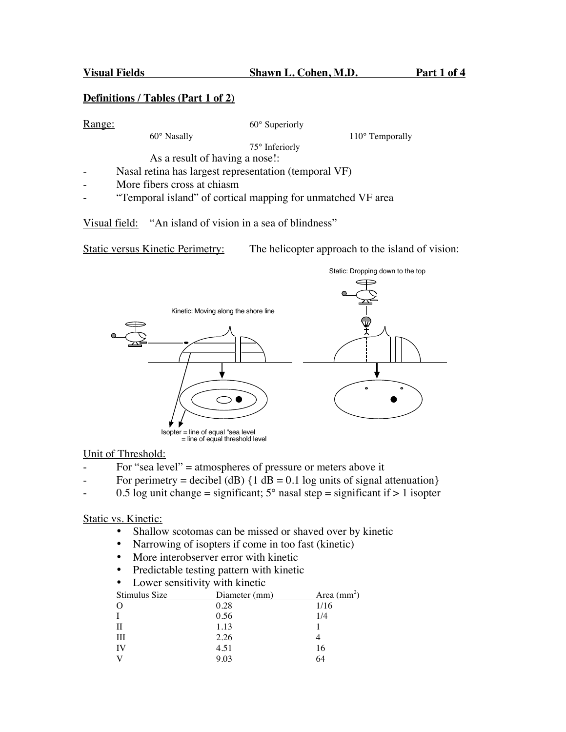#### **Definitions / Tables (Part 1 of 2)**

Range: 60° Superiorly

60° Nasally 110° Temporally

75° Inferiorly As a result of having a nose!:

- Nasal retina has largest representation (temporal VF)
- More fibers cross at chiasm
- "Temporal island" of cortical mapping for unmatched VF area

Visual field: "An island of vision in a sea of blindness"

Static versus Kinetic Perimetry: The helicopter approach to the island of vision:



#### Unit of Threshold:

- For "sea level" = atmospheres of pressure or meters above it
- For perimetry = decibel (dB)  $\{1 \text{ dB} = 0.1 \text{ log units of signal attenuation}\}$
- $-$  0.5 log unit change = significant;  $5^{\circ}$  nasal step = significant if  $> 1$  isopter

## Static vs. Kinetic:

- Shallow scotomas can be missed or shaved over by kinetic
- Narrowing of isopters if come in too fast (kinetic)
- More interobserver error with kinetic
- Predictable testing pattern with kinetic
- Lower sensitivity with kinetic

| Area $\text{(mm}^2)$ |
|----------------------|
|                      |
|                      |
|                      |
|                      |
|                      |
|                      |
|                      |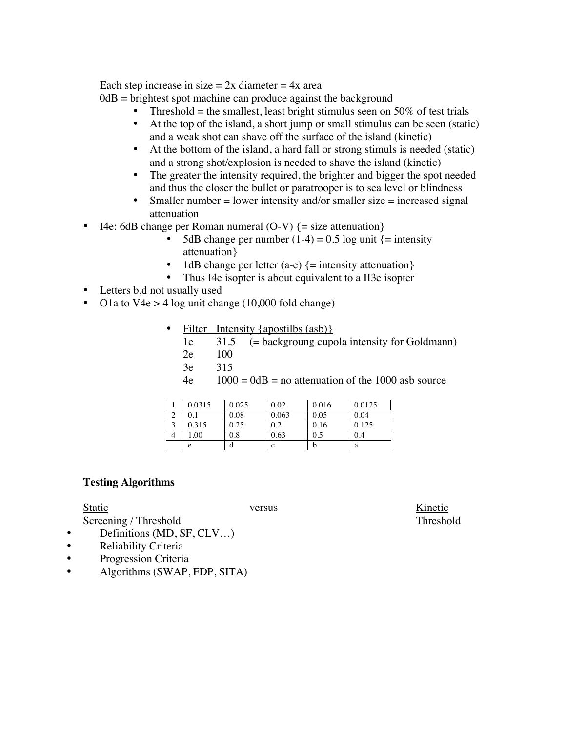Each step increase in size  $= 2x$  diameter  $= 4x$  area

 $0dB =$  brightest spot machine can produce against the background

- Threshold = the smallest, least bright stimulus seen on 50% of test trials<br>• At the top of the island a short iump or small stimulus can be seen (station
- At the top of the island, a short jump or small stimulus can be seen (static) and a weak shot can shave off the surface of the island (kinetic)
- At the bottom of the island, a hard fall or strong stimuls is needed (static) and a strong shot/explosion is needed to shave the island (kinetic)
- The greater the intensity required, the brighter and bigger the spot needed and thus the closer the bullet or paratrooper is to sea level or blindness
- Smaller number  $=$  lower intensity and/or smaller size  $=$  increased signal attenuation
- I4e: 6dB change per Roman numeral  $(O-V)$   $\{ = \text{size attenuation} \}$ 
	- 5dB change per number  $(1-4) = 0.5$  log unit  $\{$  = intensity attenuation}
	- 1dB change per letter (a-e)  $\{=\text{intensity attenuation}\}$ <br>• Thus I4e isopter is about equivalent to a II3e isopter
	- Thus I4e isopter is about equivalent to a II3e isopter
- Letters b,d not usually used
- O1a to V4e > 4 log unit change (10,000 fold change)
	- Filter Intensity {apostilbs (asb)}
		- 1e  $31.5$  (= backgroung cupola intensity for Goldmann)
		- 2e 100
		- 3e 315
		- $4e$  1000 = 0dB = no attenuation of the 1000 asb source

| 0.0315 | 0.025 | 0.02  | 0.016 | 0.0125 |
|--------|-------|-------|-------|--------|
| 0.1    | 0.08  | 0.063 | 0.05  | 0.04   |
| 0.315  | 0.25  | 0.2   | 0.16  | 0.125  |
| 1.00   | 0.8   | 0.63  | 0.5   | 0.4    |
| e      |       |       |       | a      |

### **Testing Algorithms**

Screening / Threshold Threshold

- Definitions (MD, SF, CLV…)
- Reliability Criteria
- Progression Criteria
- Algorithms (SWAP, FDP, SITA)

Static Versus versus versus Kinetic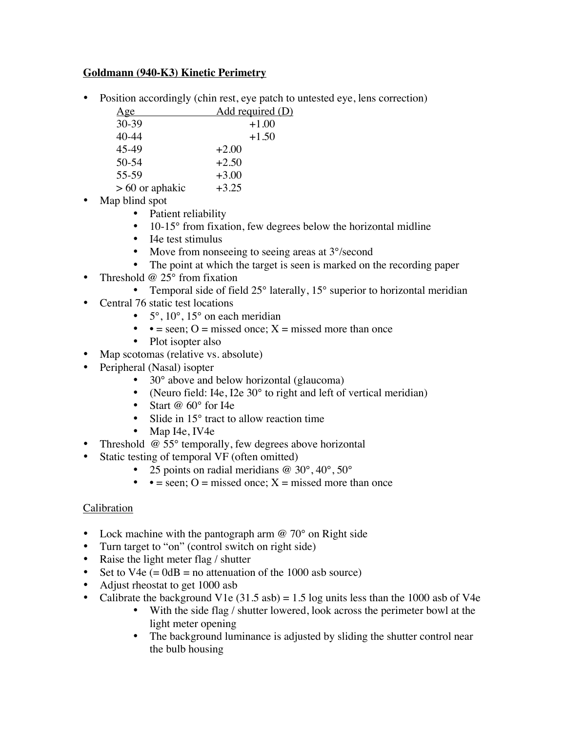## **Goldmann (940-K3) Kinetic Perimetry**

• Position accordingly (chin rest, eye patch to untested eye, lens correction)

| Age               | Add required (D) |
|-------------------|------------------|
| $30-39$           | $+1.00$          |
| 40-44             | $+1.50$          |
| 45-49             | $+2.00$          |
| $50 - 54$         | $+2.50$          |
| 55-59             | $+3.00$          |
| $> 60$ or aphakic | $+3.25$          |

- Map blind spot
	- Patient reliability
	- 10-15° from fixation, few degrees below the horizontal midline
	- I4e test stimulus
	- Move from nonseeing to seeing areas at 3°/second
	- The point at which the target is seen is marked on the recording paper
- Threshold  $@$  25 $^{\circ}$  from fixation
	- Temporal side of field 25° laterally, 15° superior to horizontal meridian
- Central 76 static test locations
	- $5^\circ$ ,  $10^\circ$ ,  $15^\circ$  on each meridian
	- •  $=$  seen; O = missed once; X = missed more than once
	- Plot isopter also
- Map scotomas (relative vs. absolute)
- Peripheral (Nasal) isopter
	- 30° above and below horizontal (glaucoma)
	- (Neuro field: I4e, I2e 30° to right and left of vertical meridian)
	- Start @ 60° for I4e
	- Slide in 15<sup>°</sup> tract to allow reaction time
	- Map I4e, IV4e
- Threshold  $@$  55 $^{\circ}$  temporally, few degrees above horizontal
- Static testing of temporal VF (often omitted)
	- 25 points on radial meridians @ 30°, 40°, 50°
	- •  $=$  seen; O = missed once;  $X =$  missed more than once

# **Calibration**

- Lock machine with the pantograph arm  $\omega$  70° on Right side
- Turn target to "on" (control switch on right side)
- Raise the light meter flag / shutter
- Set to  $V4e (= 0dB = no$  attenuation of the 1000 asb source)
- Adjust rheostat to get 1000 asb
- Calibrate the background V1e  $(31.5 \text{ asb}) = 1.5 \log \text{units}$  less than the 1000 asb of V4e
	- With the side flag / shutter lowered, look across the perimeter bowl at the light meter opening
	- The background luminance is adjusted by sliding the shutter control near the bulb housing